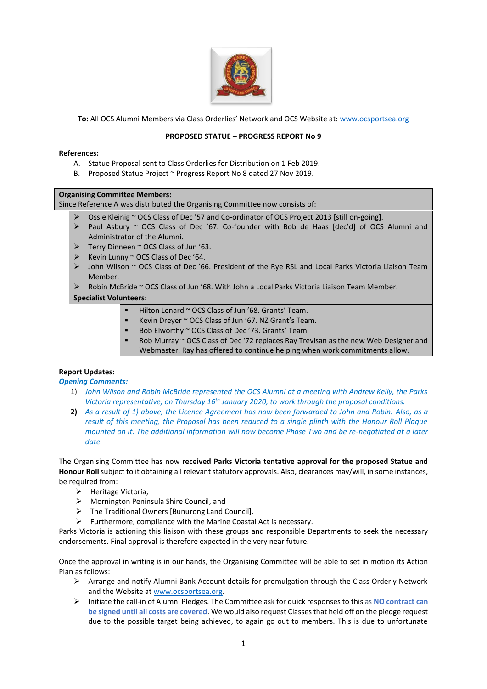

**To:** All OCS Alumni Members via Class Orderlies' Network and OCS Website at: [www.ocsportsea.org](http://www.ocsportsea.org/)

#### **PROPOSED STATUE – PROGRESS REPORT No 9**

#### **References:**

- A. Statue Proposal sent to Class Orderlies for Distribution on 1 Feb 2019.
- B. Proposed Statue Project ~ Progress Report No 8 dated 27 Nov 2019.

#### **Organising Committee Members:**

Since Reference A was distributed the Organising Committee now consists of:

- Ossie Kleinig ~ OCS Class of Dec '57 and Co-ordinator of OCS Project 2013 [still on-going].
- ➢ Paul Asbury ~ OCS Class of Dec '67. Co-founder with Bob de Haas [dec'd] of OCS Alumni and Administrator of the Alumni.
- ➢ Terry Dinneen ~ OCS Class of Jun '63.
- Kevin Lunny ~ OCS Class of Dec '64.
- ➢ John Wilson ~ OCS Class of Dec '66. President of the Rye RSL and Local Parks Victoria Liaison Team Member.
- $\triangleright$  Robin McBride ~ OCS Class of Jun '68. With John a Local Parks Victoria Liaison Team Member.

### **Specialist Volunteers:**

- Hilton Lenard ~ OCS Class of Jun '68. Grants' Team.
- Kevin Dreyer ~ OCS Class of Jun '67. NZ Grant's Team.
- Bob Elworthy ~ OCS Class of Dec '73. Grants' Team.
- Rob Murray  $\sim$  OCS Class of Dec '72 replaces Ray Trevisan as the new Web Designer and Webmaster. Ray has offered to continue helping when work commitments allow.

#### **Report Updates:**

#### *Opening Comments:*

- 1) *John Wilson and Robin McBride represented the OCS Alumni at a meeting with Andrew Kelly, the Parks Victoria representative, on Thursday 16th January 2020, to work through the proposal conditions.*
- **2)** *As a result of 1) above, the Licence Agreement has now been forwarded to John and Robin. Also, as a result of this meeting, the Proposal has been reduced to a single plinth with the Honour Roll Plaque mounted on it. The additional information will now become Phase Two and be re-negotiated at a later date.*

The Organising Committee has now **received Parks Victoria tentative approval for the proposed Statue and Honour Roll**subject to it obtaining all relevant statutory approvals. Also, clearances may/will, in some instances, be required from:

- ➢ Heritage Victoria,
- ➢ Mornington Peninsula Shire Council, and
- ➢ The Traditional Owners [Bunurong Land Council].
- $\triangleright$  Furthermore, compliance with the Marine Coastal Act is necessary.

Parks Victoria is actioning this liaison with these groups and responsible Departments to seek the necessary endorsements. Final approval is therefore expected in the very near future.

Once the approval in writing is in our hands, the Organising Committee will be able to set in motion its Action Plan as follows:

- ➢ Arrange and notify Alumni Bank Account details for promulgation through the Class Orderly Network and the Website a[t www.ocsportsea.org.](http://www.ocsportsea.org/)
- ➢ Initiate the call-in of Alumni Pledges. The Committee ask for quick responses to this as **NO contract can be signed until all costs are covered**. We would also request Classes that held off on the pledge request due to the possible target being achieved, to again go out to members. This is due to unfortunate